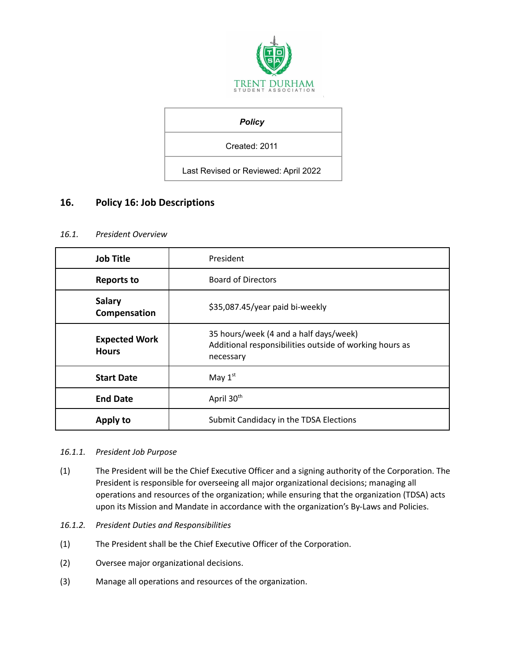

## *Policy*

Created: 2011

Last Revised or Reviewed: April 2022

# **16. Policy 16: Job Descriptions**

## *16.1. President Overview*

| <b>Job Title</b>                     | President                                                                                                      |
|--------------------------------------|----------------------------------------------------------------------------------------------------------------|
| <b>Reports to</b>                    | <b>Board of Directors</b>                                                                                      |
| <b>Salary</b><br>Compensation        | \$35,087.45/year paid bi-weekly                                                                                |
| <b>Expected Work</b><br><b>Hours</b> | 35 hours/week (4 and a half days/week)<br>Additional responsibilities outside of working hours as<br>necessary |
| <b>Start Date</b>                    | May $1st$                                                                                                      |
| <b>End Date</b>                      | April 30 <sup>th</sup>                                                                                         |
| Apply to                             | Submit Candidacy in the TDSA Elections                                                                         |

#### *16.1.1. President Job Purpose*

- (1) The President will be the Chief Executive Officer and a signing authority of the Corporation. The President is responsible for overseeing all major organizational decisions; managing all operations and resources of the organization; while ensuring that the organization (TDSA) acts upon its Mission and Mandate in accordance with the organization's By-Laws and Policies.
- *16.1.2. President Duties and Responsibilities*
- (1) The President shall be the Chief Executive Officer of the Corporation.
- (2) Oversee major organizational decisions.
- (3) Manage all operations and resources of the organization.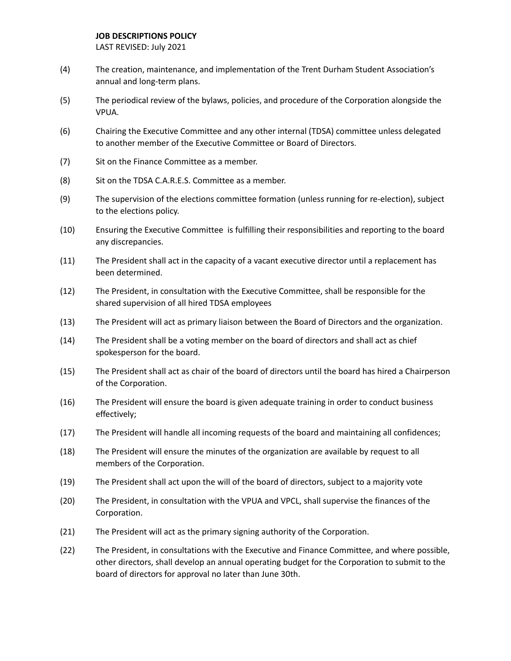- (4) The creation, maintenance, and implementation of the Trent Durham Student Association's annual and long-term plans.
- (5) The periodical review of the bylaws, policies, and procedure of the Corporation alongside the VPUA.
- (6) Chairing the Executive Committee and any other internal (TDSA) committee unless delegated to another member of the Executive Committee or Board of Directors.
- (7) Sit on the Finance Committee as a member.
- (8) Sit on the TDSA C.A.R.E.S. Committee as a member.
- (9) The supervision of the elections committee formation (unless running for re-election), subject to the elections policy.
- (10) Ensuring the Executive Committee is fulfilling their responsibilities and reporting to the board any discrepancies.
- (11) The President shall act in the capacity of a vacant executive director until a replacement has been determined.
- (12) The President, in consultation with the Executive Committee, shall be responsible for the shared supervision of all hired TDSA employees
- (13) The President will act as primary liaison between the Board of Directors and the organization.
- (14) The President shall be a voting member on the board of directors and shall act as chief spokesperson for the board.
- (15) The President shall act as chair of the board of directors until the board has hired a Chairperson of the Corporation.
- (16) The President will ensure the board is given adequate training in order to conduct business effectively;
- (17) The President will handle all incoming requests of the board and maintaining all confidences;
- (18) The President will ensure the minutes of the organization are available by request to all members of the Corporation.
- (19) The President shall act upon the will of the board of directors, subject to a majority vote
- (20) The President, in consultation with the VPUA and VPCL, shall supervise the finances of the Corporation.
- (21) The President will act as the primary signing authority of the Corporation.
- (22) The President, in consultations with the Executive and Finance Committee, and where possible, other directors, shall develop an annual operating budget for the Corporation to submit to the board of directors for approval no later than June 30th.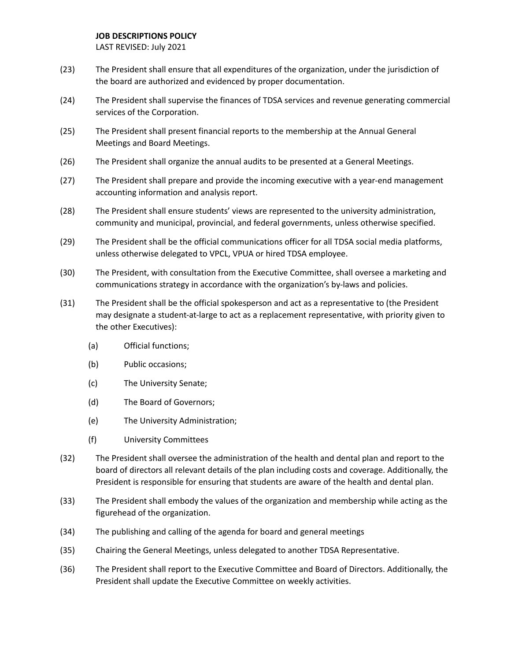- (23) The President shall ensure that all expenditures of the organization, under the jurisdiction of the board are authorized and evidenced by proper documentation.
- (24) The President shall supervise the finances of TDSA services and revenue generating commercial services of the Corporation.
- (25) The President shall present financial reports to the membership at the Annual General Meetings and Board Meetings.
- (26) The President shall organize the annual audits to be presented at a General Meetings.
- (27) The President shall prepare and provide the incoming executive with a year-end management accounting information and analysis report.
- (28) The President shall ensure students' views are represented to the university administration, community and municipal, provincial, and federal governments, unless otherwise specified.
- (29) The President shall be the official communications officer for all TDSA social media platforms, unless otherwise delegated to VPCL, VPUA or hired TDSA employee.
- (30) The President, with consultation from the Executive Committee, shall oversee a marketing and communications strategy in accordance with the organization's by-laws and policies.
- (31) The President shall be the official spokesperson and act as a representative to (the President may designate a student-at-large to act as a replacement representative, with priority given to the other Executives):
	- (a) Official functions;
	- (b) Public occasions;
	- (c) The University Senate;
	- (d) The Board of Governors;
	- (e) The University Administration;
	- (f) University Committees
- (32) The President shall oversee the administration of the health and dental plan and report to the board of directors all relevant details of the plan including costs and coverage. Additionally, the President is responsible for ensuring that students are aware of the health and dental plan.
- (33) The President shall embody the values of the organization and membership while acting as the figurehead of the organization.
- (34) The publishing and calling of the agenda for board and general meetings
- (35) Chairing the General Meetings, unless delegated to another TDSA Representative.
- (36) The President shall report to the Executive Committee and Board of Directors. Additionally, the President shall update the Executive Committee on weekly activities.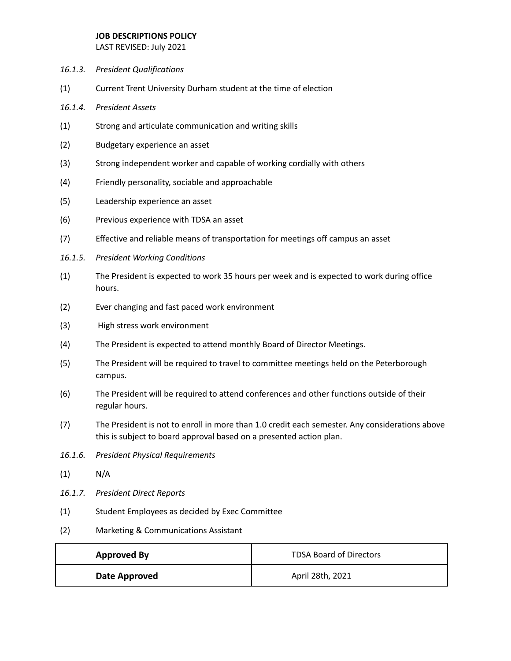- *16.1.3. President Qualifications*
- (1) Current Trent University Durham student at the time of election
- *16.1.4. President Assets*
- (1) Strong and articulate communication and writing skills
- (2) Budgetary experience an asset
- (3) Strong independent worker and capable of working cordially with others
- (4) Friendly personality, sociable and approachable
- (5) Leadership experience an asset
- (6) Previous experience with TDSA an asset
- (7) Effective and reliable means of transportation for meetings off campus an asset
- *16.1.5. President Working Conditions*
- (1) The President is expected to work 35 hours per week and is expected to work during office hours.
- (2) Ever changing and fast paced work environment
- (3) High stress work environment
- (4) The President is expected to attend monthly Board of Director Meetings.
- (5) The President will be required to travel to committee meetings held on the Peterborough campus.
- (6) The President will be required to attend conferences and other functions outside of their regular hours.
- (7) The President is not to enroll in more than 1.0 credit each semester. Any considerations above this is subject to board approval based on a presented action plan.
- *16.1.6. President Physical Requirements*
- $(1)$  N/A
- *16.1.7. President Direct Reports*
- (1) Student Employees as decided by Exec Committee
- (2) Marketing & Communications Assistant

| <b>Approved By</b> | <b>TDSA Board of Directors</b> |
|--------------------|--------------------------------|
| Date Approved      | April 28th, 2021               |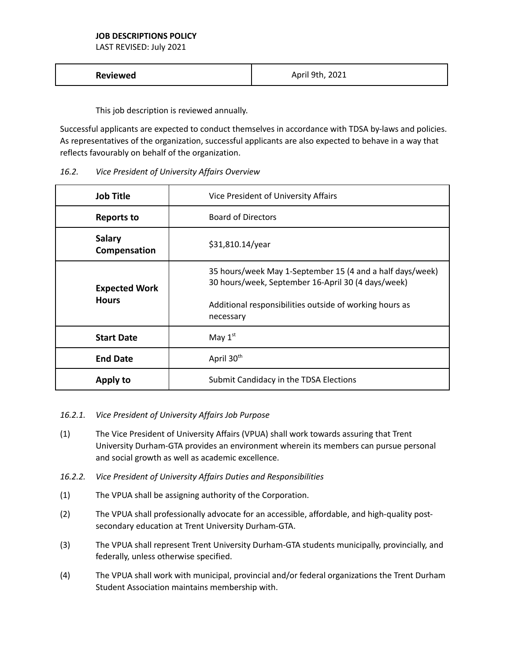LAST REVISED: July 2021

| Reviewed | April 9th, 2021 |
|----------|-----------------|
|----------|-----------------|

This job description is reviewed annually.

Successful applicants are expected to conduct themselves in accordance with TDSA by-laws and policies. As representatives of the organization, successful applicants are also expected to behave in a way that reflects favourably on behalf of the organization.

| 16.2. | Vice President of University Affairs Overview |
|-------|-----------------------------------------------|
|-------|-----------------------------------------------|

| <b>Job Title</b>                     | Vice President of University Affairs                                                                                                                                                    |
|--------------------------------------|-----------------------------------------------------------------------------------------------------------------------------------------------------------------------------------------|
| <b>Reports to</b>                    | <b>Board of Directors</b>                                                                                                                                                               |
| <b>Salary</b><br>Compensation        | \$31,810.14/year                                                                                                                                                                        |
| <b>Expected Work</b><br><b>Hours</b> | 35 hours/week May 1-September 15 (4 and a half days/week)<br>30 hours/week, September 16-April 30 (4 days/week)<br>Additional responsibilities outside of working hours as<br>necessary |
| <b>Start Date</b>                    | May $1st$                                                                                                                                                                               |
| <b>End Date</b>                      | April 30 <sup>th</sup>                                                                                                                                                                  |
| Apply to                             | Submit Candidacy in the TDSA Elections                                                                                                                                                  |

## *16.2.1. Vice President of University Affairs Job Purpose*

- (1) The Vice President of University Affairs (VPUA) shall work towards assuring that Trent University Durham-GTA provides an environment wherein its members can pursue personal and social growth as well as academic excellence.
- *16.2.2. Vice President of University Affairs Duties and Responsibilities*
- (1) The VPUA shall be assigning authority of the Corporation.
- (2) The VPUA shall professionally advocate for an accessible, affordable, and high-quality postsecondary education at Trent University Durham-GTA.
- (3) The VPUA shall represent Trent University Durham-GTA students municipally, provincially, and federally, unless otherwise specified.
- (4) The VPUA shall work with municipal, provincial and/or federal organizations the Trent Durham Student Association maintains membership with.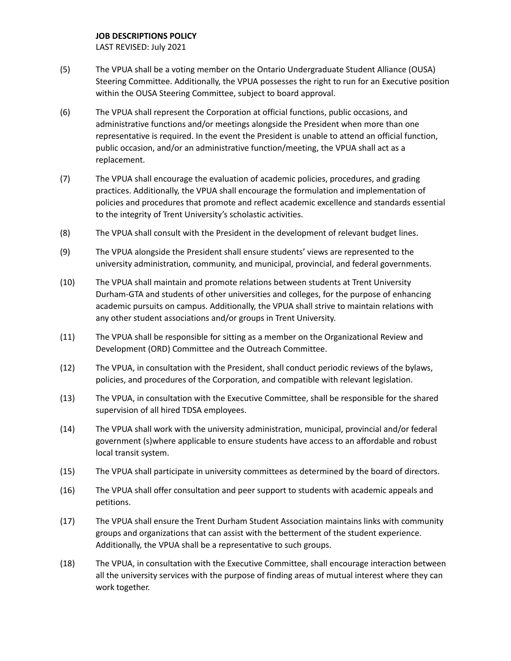- (5) The VPUA shall be a voting member on the Ontario Undergraduate Student Alliance (OUSA) Steering Committee. Additionally, the VPUA possesses the right to run for an Executive position within the OUSA Steering Committee, subject to board approval.
- (6) The VPUA shall represent the Corporation at official functions, public occasions, and administrative functions and/or meetings alongside the President when more than one representative is required. In the event the President is unable to attend an official function, public occasion, and/or an administrative function/meeting, the VPUA shall act as a replacement.
- (7) The VPUA shall encourage the evaluation of academic policies, procedures, and grading practices. Additionally, the VPUA shall encourage the formulation and implementation of policies and procedures that promote and reflect academic excellence and standards essential to the integrity of Trent University's scholastic activities.
- (8) The VPUA shall consult with the President in the development of relevant budget lines.
- (9) The VPUA alongside the President shall ensure students' views are represented to the university administration, community, and municipal, provincial, and federal governments.
- (10) The VPUA shall maintain and promote relations between students at Trent University Durham-GTA and students of other universities and colleges, for the purpose of enhancing academic pursuits on campus. Additionally, the VPUA shall strive to maintain relations with any other student associations and/or groups in Trent University.
- (11) The VPUA shall be responsible for sitting as a member on the Organizational Review and Development (ORD) Committee and the Outreach Committee.
- (12) The VPUA, in consultation with the President, shall conduct periodic reviews of the bylaws, policies, and procedures of the Corporation, and compatible with relevant legislation.
- (13) The VPUA, in consultation with the Executive Committee, shall be responsible for the shared supervision of all hired TDSA employees.
- (14) The VPUA shall work with the university administration, municipal, provincial and/or federal government (s)where applicable to ensure students have access to an affordable and robust local transit system.
- (15) The VPUA shall participate in university committees as determined by the board of directors.
- (16) The VPUA shall offer consultation and peer support to students with academic appeals and petitions.
- (17) The VPUA shall ensure the Trent Durham Student Association maintains links with community groups and organizations that can assist with the betterment of the student experience. Additionally, the VPUA shall be a representative to such groups.
- (18) The VPUA, in consultation with the Executive Committee, shall encourage interaction between all the university services with the purpose of finding areas of mutual interest where they can work together.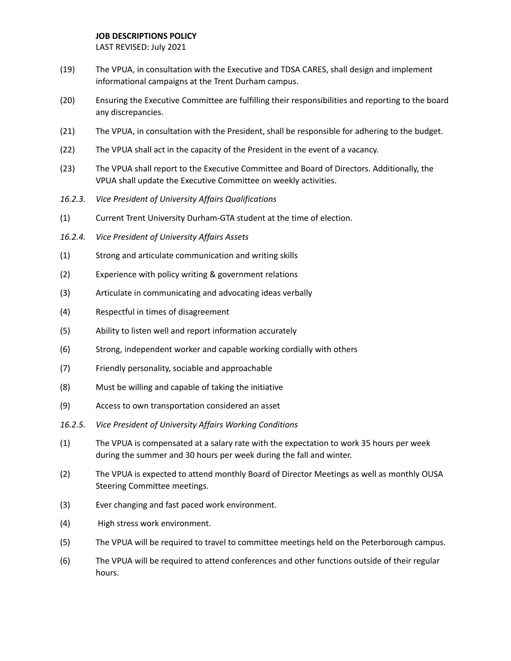- (19) The VPUA, in consultation with the Executive and TDSA CARES, shall design and implement informational campaigns at the Trent Durham campus.
- (20) Ensuring the Executive Committee are fulfilling their responsibilities and reporting to the board any discrepancies.
- (21) The VPUA, in consultation with the President, shall be responsible for adhering to the budget.
- (22) The VPUA shall act in the capacity of the President in the event of a vacancy.
- (23) The VPUA shall report to the Executive Committee and Board of Directors. Additionally, the VPUA shall update the Executive Committee on weekly activities.
- *16.2.3. Vice President of University Affairs Qualifications*
- (1) Current Trent University Durham-GTA student at the time of election.
- *16.2.4. Vice President of University Affairs Assets*
- (1) Strong and articulate communication and writing skills
- (2) Experience with policy writing & government relations
- (3) Articulate in communicating and advocating ideas verbally
- (4) Respectful in times of disagreement
- (5) Ability to listen well and report information accurately
- (6) Strong, independent worker and capable working cordially with others
- (7) Friendly personality, sociable and approachable
- (8) Must be willing and capable of taking the initiative
- (9) Access to own transportation considered an asset
- *16.2.5. Vice President of University Affairs Working Conditions*
- (1) The VPUA is compensated at a salary rate with the expectation to work 35 hours per week during the summer and 30 hours per week during the fall and winter.
- (2) The VPUA is expected to attend monthly Board of Director Meetings as well as monthly OUSA Steering Committee meetings.
- (3) Ever changing and fast paced work environment.
- (4) High stress work environment.
- (5) The VPUA will be required to travel to committee meetings held on the Peterborough campus.
- (6) The VPUA will be required to attend conferences and other functions outside of their regular hours.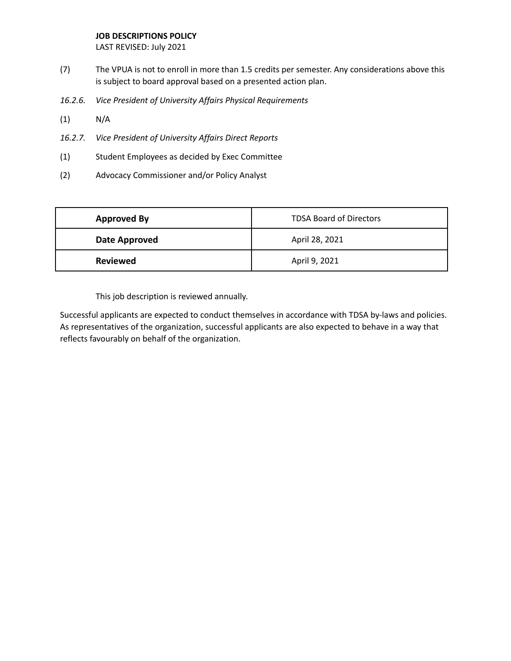LAST REVISED: July 2021

- (7) The VPUA is not to enroll in more than 1.5 credits per semester. Any considerations above this is subject to board approval based on a presented action plan.
- *16.2.6. Vice President of University Affairs Physical Requirements*
- (1) N/A
- *16.2.7. Vice President of University Affairs Direct Reports*
- (1) Student Employees as decided by Exec Committee
- (2) Advocacy Commissioner and/or Policy Analyst

| <b>Approved By</b> | <b>TDSA Board of Directors</b> |
|--------------------|--------------------------------|
| Date Approved      | April 28, 2021                 |
| <b>Reviewed</b>    | April 9, 2021                  |

This job description is reviewed annually.

Successful applicants are expected to conduct themselves in accordance with TDSA by-laws and policies. As representatives of the organization, successful applicants are also expected to behave in a way that reflects favourably on behalf of the organization.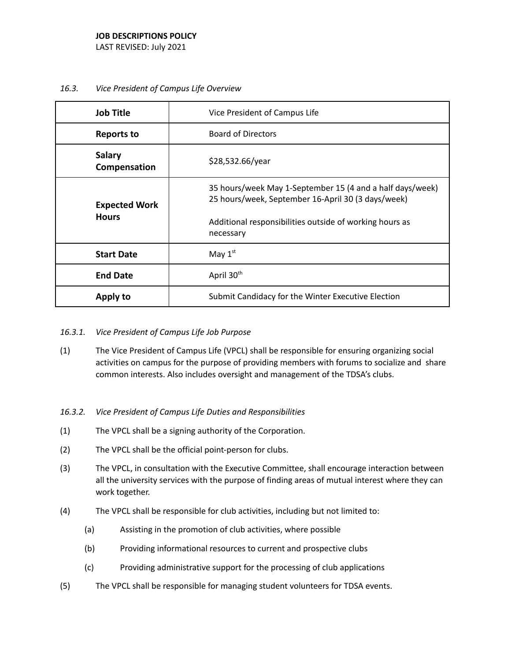- **Job Title Vice President of Campus Life Reports to Channel Board of Directors Salary** Salary<br>**Compensation** \$28,532.66/year **Expected Work Hours** 35 hours/week May 1-September 15 (4 and a half days/week) 25 hours/week, September 16-April 30 (3 days/week) Additional responsibilities outside of working hours as necessary **Start Date** May  $1<sup>st</sup>$ **End Date** April 30<sup>th</sup> **Apply to** Submit Candidacy for the Winter Executive Election
- *16.3. Vice President of Campus Life Overview*

- *16.3.1. Vice President of Campus Life Job Purpose*
- (1) The Vice President of Campus Life (VPCL) shall be responsible for ensuring organizing social activities on campus for the purpose of providing members with forums to socialize and share common interests. Also includes oversight and management of the TDSA's clubs.
- *16.3.2. Vice President of Campus Life Duties and Responsibilities*
- (1) The VPCL shall be a signing authority of the Corporation.
- (2) The VPCL shall be the official point-person for clubs.
- (3) The VPCL, in consultation with the Executive Committee, shall encourage interaction between all the university services with the purpose of finding areas of mutual interest where they can work together.
- (4) The VPCL shall be responsible for club activities, including but not limited to:
	- (a) Assisting in the promotion of club activities, where possible
	- (b) Providing informational resources to current and prospective clubs
	- (c) Providing administrative support for the processing of club applications
- (5) The VPCL shall be responsible for managing student volunteers for TDSA events.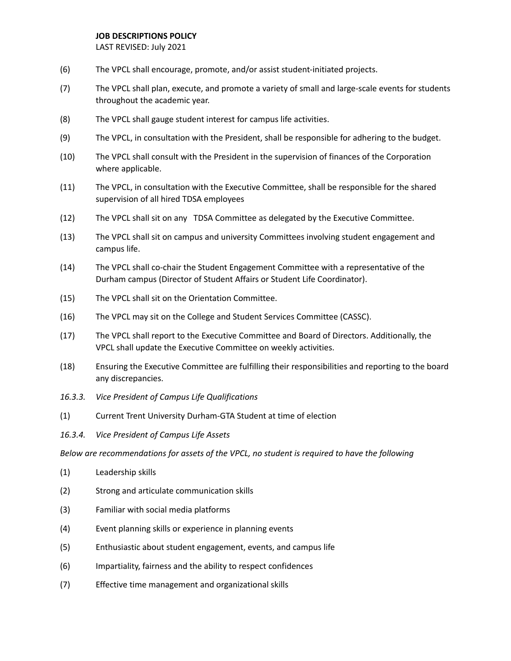LAST REVISED: July 2021

- (6) The VPCL shall encourage, promote, and/or assist student-initiated projects.
- (7) The VPCL shall plan, execute, and promote a variety of small and large-scale events for students throughout the academic year.
- (8) The VPCL shall gauge student interest for campus life activities.
- (9) The VPCL, in consultation with the President, shall be responsible for adhering to the budget.
- (10) The VPCL shall consult with the President in the supervision of finances of the Corporation where applicable.
- (11) The VPCL, in consultation with the Executive Committee, shall be responsible for the shared supervision of all hired TDSA employees
- (12) The VPCL shall sit on any TDSA Committee as delegated by the Executive Committee.
- (13) The VPCL shall sit on campus and university Committees involving student engagement and campus life.
- (14) The VPCL shall co-chair the Student Engagement Committee with a representative of the Durham campus (Director of Student Affairs or Student Life Coordinator).
- (15) The VPCL shall sit on the Orientation Committee.
- (16) The VPCL may sit on the College and Student Services Committee (CASSC).
- (17) The VPCL shall report to the Executive Committee and Board of Directors. Additionally, the VPCL shall update the Executive Committee on weekly activities.
- (18) Ensuring the Executive Committee are fulfilling their responsibilities and reporting to the board any discrepancies.
- *16.3.3. Vice President of Campus Life Qualifications*
- (1) Current Trent University Durham-GTA Student at time of election
- *16.3.4. Vice President of Campus Life Assets*

*Below are recommendations for assets of the VPCL, no student is required to have the following*

- (1) Leadership skills
- (2) Strong and articulate communication skills
- (3) Familiar with social media platforms
- (4) Event planning skills or experience in planning events
- (5) Enthusiastic about student engagement, events, and campus life
- (6) Impartiality, fairness and the ability to respect confidences
- (7) Effective time management and organizational skills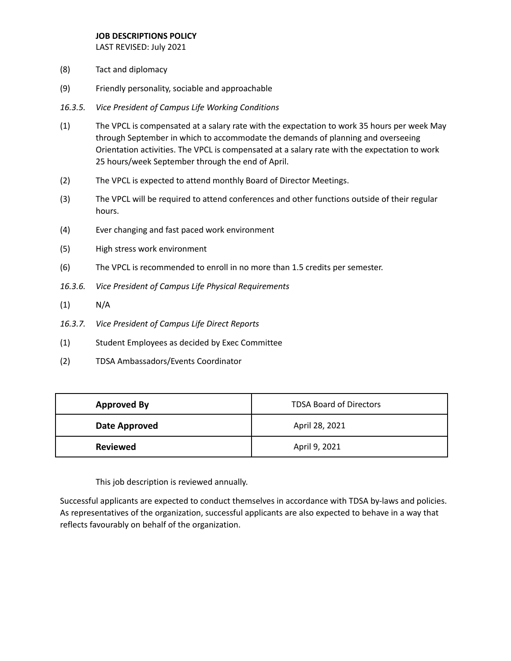LAST REVISED: July 2021

- (8) Tact and diplomacy
- (9) Friendly personality, sociable and approachable
- *16.3.5. Vice President of Campus Life Working Conditions*
- (1) The VPCL is compensated at a salary rate with the expectation to work 35 hours per week May through September in which to accommodate the demands of planning and overseeing Orientation activities. The VPCL is compensated at a salary rate with the expectation to work 25 hours/week September through the end of April.
- (2) The VPCL is expected to attend monthly Board of Director Meetings.
- (3) The VPCL will be required to attend conferences and other functions outside of their regular hours.
- (4) Ever changing and fast paced work environment
- (5) High stress work environment
- (6) The VPCL is recommended to enroll in no more than 1.5 credits per semester.
- *16.3.6. Vice President of Campus Life Physical Requirements*
- $(1)$  N/A
- *16.3.7. Vice President of Campus Life Direct Reports*
- (1) Student Employees as decided by Exec Committee
- (2) TDSA Ambassadors/Events Coordinator

| <b>Approved By</b> | <b>TDSA Board of Directors</b> |
|--------------------|--------------------------------|
| Date Approved      | April 28, 2021                 |
| <b>Reviewed</b>    | April 9, 2021                  |

This job description is reviewed annually.

Successful applicants are expected to conduct themselves in accordance with TDSA by-laws and policies. As representatives of the organization, successful applicants are also expected to behave in a way that reflects favourably on behalf of the organization.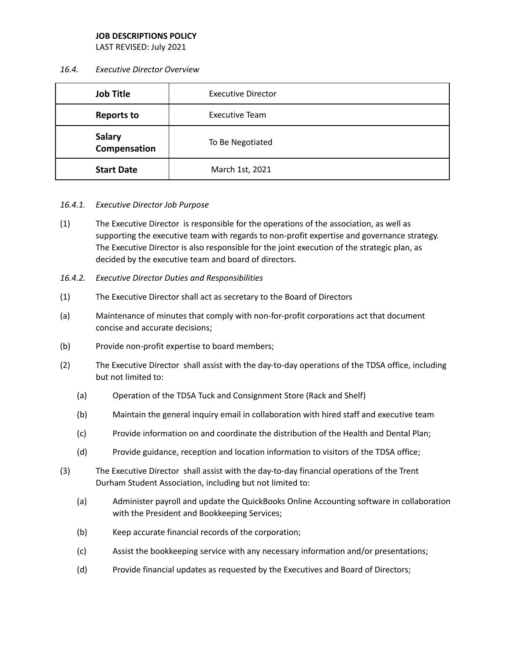LAST REVISED: July 2021

#### *16.4. Executive Director Overview*

| <b>Job Title</b>              | <b>Executive Director</b> |
|-------------------------------|---------------------------|
| <b>Reports to</b>             | <b>Executive Team</b>     |
| <b>Salary</b><br>Compensation | To Be Negotiated          |
| <b>Start Date</b>             | March 1st, 2021           |

## *16.4.1. Executive Director Job Purpose*

- (1) The Executive Director is responsible for the operations of the association, as well as supporting the executive team with regards to non-profit expertise and governance strategy. The Executive Director is also responsible for the joint execution of the strategic plan, as decided by the executive team and board of directors.
- *16.4.2. Executive Director Duties and Responsibilities*
- (1) The Executive Director shall act as secretary to the Board of Directors
- (a) Maintenance of minutes that comply with non-for-profit corporations act that document concise and accurate decisions;
- (b) Provide non-profit expertise to board members;
- (2) The Executive Director shall assist with the day-to-day operations of the TDSA office, including but not limited to:
	- (a) Operation of the TDSA Tuck and Consignment Store (Rack and Shelf)
	- (b) Maintain the general inquiry email in collaboration with hired staff and executive team
	- (c) Provide information on and coordinate the distribution of the Health and Dental Plan;
	- (d) Provide guidance, reception and location information to visitors of the TDSA office;
- (3) The Executive Director shall assist with the day-to-day financial operations of the Trent Durham Student Association, including but not limited to:
	- (a) Administer payroll and update the QuickBooks Online Accounting software in collaboration with the President and Bookkeeping Services;
	- (b) Keep accurate financial records of the corporation;
	- (c) Assist the bookkeeping service with any necessary information and/or presentations;
	- (d) Provide financial updates as requested by the Executives and Board of Directors;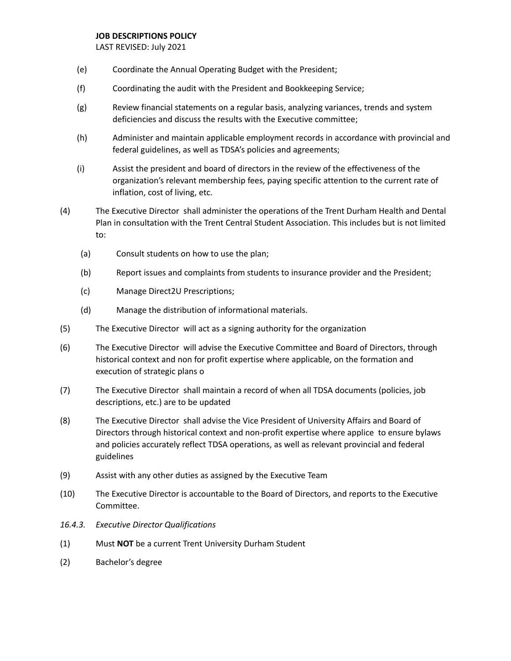- (e) Coordinate the Annual Operating Budget with the President;
- (f) Coordinating the audit with the President and Bookkeeping Service;
- (g) Review financial statements on a regular basis, analyzing variances, trends and system deficiencies and discuss the results with the Executive committee;
- (h) Administer and maintain applicable employment records in accordance with provincial and federal guidelines, as well as TDSA's policies and agreements;
- (i) Assist the president and board of directors in the review of the effectiveness of the organization's relevant membership fees, paying specific attention to the current rate of inflation, cost of living, etc.
- (4) The Executive Director shall administer the operations of the Trent Durham Health and Dental Plan in consultation with the Trent Central Student Association. This includes but is not limited to:
	- (a) Consult students on how to use the plan;
	- (b) Report issues and complaints from students to insurance provider and the President;
	- (c) Manage Direct2U Prescriptions;
	- (d) Manage the distribution of informational materials.
- (5) The Executive Director will act as a signing authority for the organization
- (6) The Executive Director will advise the Executive Committee and Board of Directors, through historical context and non for profit expertise where applicable, on the formation and execution of strategic plans o
- (7) The Executive Director shall maintain a record of when all TDSA documents (policies, job descriptions, etc.) are to be updated
- (8) The Executive Director shall advise the Vice President of University Affairs and Board of Directors through historical context and non-profit expertise where applice to ensure bylaws and policies accurately reflect TDSA operations, as well as relevant provincial and federal guidelines
- (9) Assist with any other duties as assigned by the Executive Team
- (10) The Executive Director is accountable to the Board of Directors, and reports to the Executive Committee.
- *16.4.3. Executive Director Qualifications*
- (1) Must **NOT** be a current Trent University Durham Student
- (2) Bachelor's degree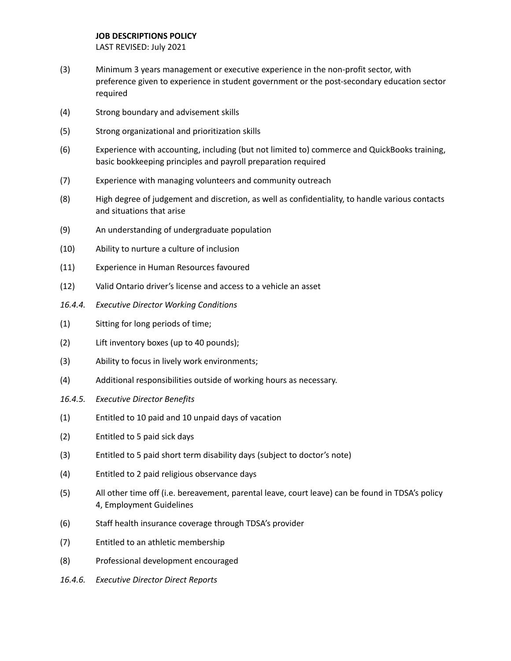- (3) Minimum 3 years management or executive experience in the non-profit sector, with preference given to experience in student government or the post-secondary education sector required
- (4) Strong boundary and advisement skills
- (5) Strong organizational and prioritization skills
- (6) Experience with accounting, including (but not limited to) commerce and QuickBooks training, basic bookkeeping principles and payroll preparation required
- (7) Experience with managing volunteers and community outreach
- (8) High degree of judgement and discretion, as well as confidentiality, to handle various contacts and situations that arise
- (9) An understanding of undergraduate population
- (10) Ability to nurture a culture of inclusion
- (11) Experience in Human Resources favoured
- (12) Valid Ontario driver's license and access to a vehicle an asset
- *16.4.4. Executive Director Working Conditions*
- (1) Sitting for long periods of time;
- (2) Lift inventory boxes (up to 40 pounds);
- (3) Ability to focus in lively work environments;
- (4) Additional responsibilities outside of working hours as necessary.
- *16.4.5. Executive Director Benefits*
- (1) Entitled to 10 paid and 10 unpaid days of vacation
- (2) Entitled to 5 paid sick days
- (3) Entitled to 5 paid short term disability days (subject to doctor's note)
- (4) Entitled to 2 paid religious observance days
- (5) All other time off (i.e. bereavement, parental leave, court leave) can be found in TDSA's policy 4, Employment Guidelines
- (6) Staff health insurance coverage through TDSA's provider
- (7) Entitled to an athletic membership
- (8) Professional development encouraged
- *16.4.6. Executive Director Direct Reports*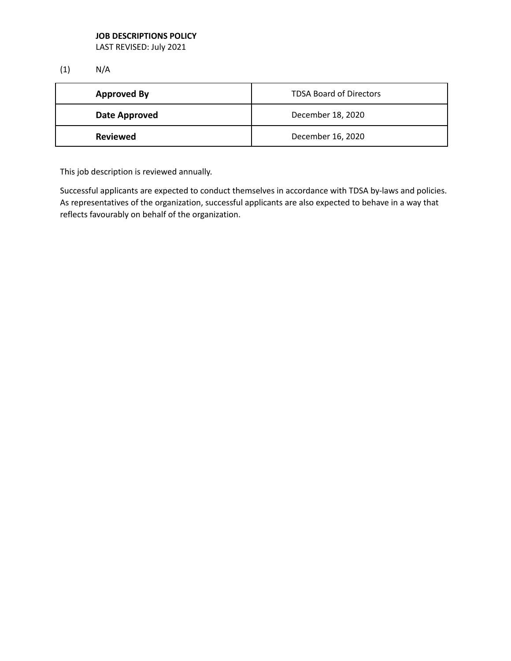LAST REVISED: July 2021

(1) N/A

| <b>Approved By</b> | <b>TDSA Board of Directors</b> |
|--------------------|--------------------------------|
| Date Approved      | December 18, 2020              |
| <b>Reviewed</b>    | December 16, 2020              |

This job description is reviewed annually.

Successful applicants are expected to conduct themselves in accordance with TDSA by-laws and policies. As representatives of the organization, successful applicants are also expected to behave in a way that reflects favourably on behalf of the organization.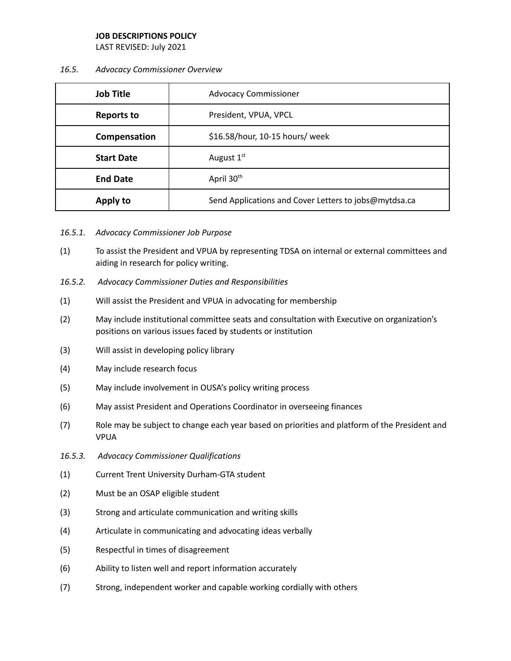LAST REVISED: July 2021

#### *16.5. Advocacy Commissioner Overview*

| <b>Job Title</b>  | <b>Advocacy Commissioner</b>                          |
|-------------------|-------------------------------------------------------|
| <b>Reports to</b> | President, VPUA, VPCL                                 |
| Compensation      | \$16.58/hour, 10-15 hours/ week                       |
| <b>Start Date</b> | August 1 <sup>st</sup>                                |
| <b>End Date</b>   | April 30 <sup>th</sup>                                |
| Apply to          | Send Applications and Cover Letters to jobs@mytdsa.ca |

- *16.5.1. Advocacy Commissioner Job Purpose*
- (1) To assist the President and VPUA by representing TDSA on internal or external committees and aiding in research for policy writing.
- *16.5.2. Advocacy Commissioner Duties and Responsibilities*
- (1) Will assist the President and VPUA in advocating for membership
- (2) May include institutional committee seats and consultation with Executive on organization's positions on various issues faced by students or institution
- (3) Will assist in developing policy library
- (4) May include research focus
- (5) May include involvement in OUSA's policy writing process
- (6) May assist President and Operations Coordinator in overseeing finances
- (7) Role may be subject to change each year based on priorities and platform of the President and VPUA
- *16.5.3. Advocacy Commissioner Qualifications*
- (1) Current Trent University Durham-GTA student
- (2) Must be an OSAP eligible student
- (3) Strong and articulate communication and writing skills
- (4) Articulate in communicating and advocating ideas verbally
- (5) Respectful in times of disagreement
- (6) Ability to listen well and report information accurately
- (7) Strong, independent worker and capable working cordially with others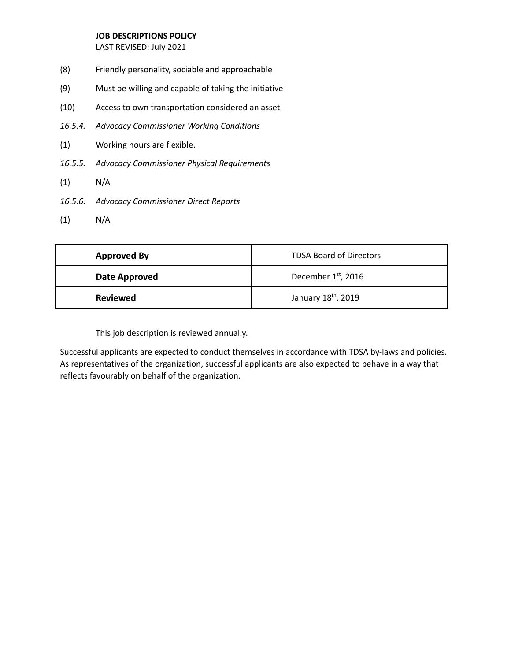LAST REVISED: July 2021

- (8) Friendly personality, sociable and approachable
- (9) Must be willing and capable of taking the initiative
- (10) Access to own transportation considered an asset
- *16.5.4. Advocacy Commissioner Working Conditions*
- (1) Working hours are flexible.
- *16.5.5. Advocacy Commissioner Physical Requirements*
- (1) N/A
- *16.5.6. Advocacy Commissioner Direct Reports*
- (1) N/A

| <b>Approved By</b> | <b>TDSA Board of Directors</b>  |
|--------------------|---------------------------------|
| Date Approved      | December 1 <sup>st</sup> , 2016 |
| <b>Reviewed</b>    | January 18 <sup>th</sup> , 2019 |

This job description is reviewed annually.

Successful applicants are expected to conduct themselves in accordance with TDSA by-laws and policies. As representatives of the organization, successful applicants are also expected to behave in a way that reflects favourably on behalf of the organization.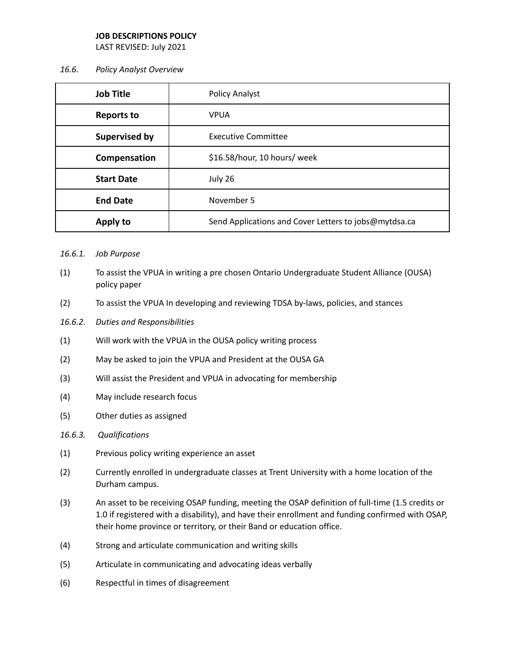LAST REVISED: July 2021

## *16.6. Policy Analyst Overview*

| <b>Job Title</b>  | Policy Analyst                                        |
|-------------------|-------------------------------------------------------|
| <b>Reports to</b> | <b>VPUA</b>                                           |
| Supervised by     | <b>Executive Committee</b>                            |
| Compensation      | \$16.58/hour, 10 hours/ week                          |
| <b>Start Date</b> | July 26                                               |
| <b>End Date</b>   | November 5                                            |
| Apply to          | Send Applications and Cover Letters to jobs@mytdsa.ca |

- *16.6.1. Job Purpose*
- (1) To assist the VPUA in writing a pre chosen Ontario Undergraduate Student Alliance (OUSA) policy paper
- (2) To assist the VPUA In developing and reviewing TDSA by-laws, policies, and stances
- *16.6.2. Duties and Responsibilities*
- (1) Will work with the VPUA in the OUSA policy writing process
- (2) May be asked to join the VPUA and President at the OUSA GA
- (3) Will assist the President and VPUA in advocating for membership
- (4) May include research focus
- (5) Other duties as assigned
- *16.6.3. Qualifications*
- (1) Previous policy writing experience an asset
- (2) Currently enrolled in undergraduate classes at Trent University with a home location of the Durham campus.
- (3) An asset to be receiving OSAP funding, meeting the OSAP definition of full-time (1.5 credits or 1.0 if registered with a disability), and have their enrollment and funding confirmed with OSAP, their home province or territory, or their Band or education office.
- (4) Strong and articulate communication and writing skills
- (5) Articulate in communicating and advocating ideas verbally
- (6) Respectful in times of disagreement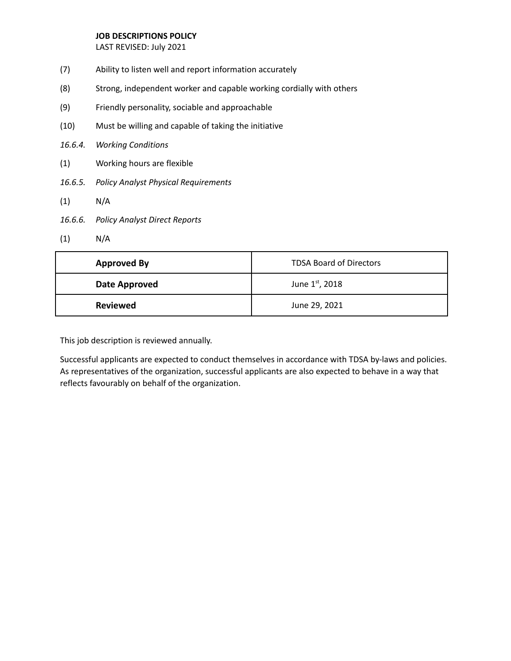LAST REVISED: July 2021

- (7) Ability to listen well and report information accurately
- (8) Strong, independent worker and capable working cordially with others
- (9) Friendly personality, sociable and approachable
- (10) Must be willing and capable of taking the initiative
- *16.6.4. Working Conditions*
- (1) Working hours are flexible
- *16.6.5. Policy Analyst Physical Requirements*
- (1) N/A
- *16.6.6. Policy Analyst Direct Reports*
- (1) N/A

| <b>Approved By</b> | <b>TDSA Board of Directors</b> |
|--------------------|--------------------------------|
| Date Approved      | June 1st, 2018                 |
| <b>Reviewed</b>    | June 29, 2021                  |

This job description is reviewed annually.

Successful applicants are expected to conduct themselves in accordance with TDSA by-laws and policies. As representatives of the organization, successful applicants are also expected to behave in a way that reflects favourably on behalf of the organization.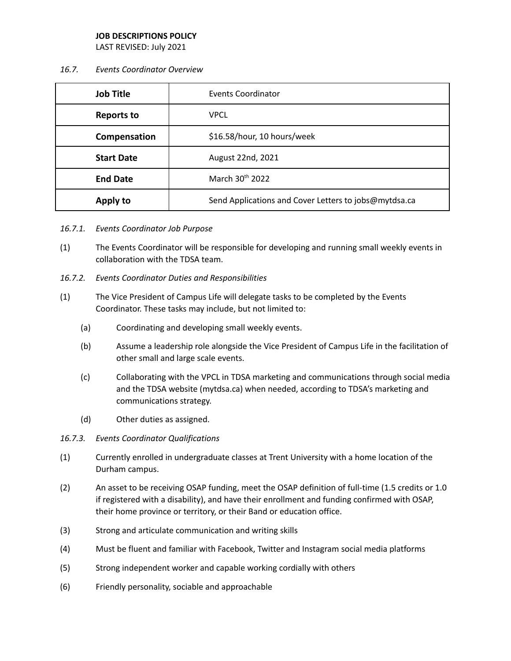LAST REVISED: July 2021

*16.7. Events Coordinator Overview*

| <b>Job Title</b>  | Events Coordinator                                    |
|-------------------|-------------------------------------------------------|
| <b>Reports to</b> | <b>VPCL</b>                                           |
| Compensation      | \$16.58/hour, 10 hours/week                           |
| <b>Start Date</b> | August 22nd, 2021                                     |
| <b>End Date</b>   | March 30th 2022                                       |
| Apply to          | Send Applications and Cover Letters to jobs@mytdsa.ca |

- *16.7.1. Events Coordinator Job Purpose*
- (1) The Events Coordinator will be responsible for developing and running small weekly events in collaboration with the TDSA team.
- *16.7.2. Events Coordinator Duties and Responsibilities*
- (1) The Vice President of Campus Life will delegate tasks to be completed by the Events Coordinator. These tasks may include, but not limited to:
	- (a) Coordinating and developing small weekly events.
	- (b) Assume a leadership role alongside the Vice President of Campus Life in the facilitation of other small and large scale events.
	- (c) Collaborating with the VPCL in TDSA marketing and communications through social media and the TDSA website (mytdsa.ca) when needed, according to TDSA's marketing and communications strategy.
	- (d) Other duties as assigned.
- *16.7.3. Events Coordinator Qualifications*
- (1) Currently enrolled in undergraduate classes at Trent University with a home location of the Durham campus.
- (2) An asset to be receiving OSAP funding, meet the OSAP definition of full-time (1.5 credits or 1.0 if registered with a disability), and have their enrollment and funding confirmed with OSAP, their home province or territory, or their Band or education office.
- (3) Strong and articulate communication and writing skills
- (4) Must be fluent and familiar with Facebook, Twitter and Instagram social media platforms
- (5) Strong independent worker and capable working cordially with others
- (6) Friendly personality, sociable and approachable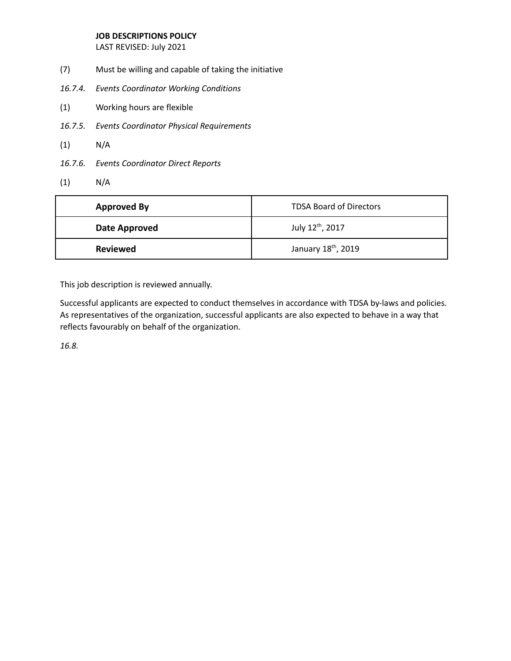LAST REVISED: July 2021

- (7) Must be willing and capable of taking the initiative
- *16.7.4. Events Coordinator Working Conditions*
- (1) Working hours are flexible
- *16.7.5. Events Coordinator Physical Requirements*
- (1) N/A
- *16.7.6. Events Coordinator Direct Reports*
- (1) N/A

| <b>Approved By</b> | <b>TDSA Board of Directors</b>  |
|--------------------|---------------------------------|
| Date Approved      | July 12th, 2017                 |
| <b>Reviewed</b>    | January 18 <sup>th</sup> , 2019 |

This job description is reviewed annually.

Successful applicants are expected to conduct themselves in accordance with TDSA by-laws and policies. As representatives of the organization, successful applicants are also expected to behave in a way that reflects favourably on behalf of the organization.

*16.8.*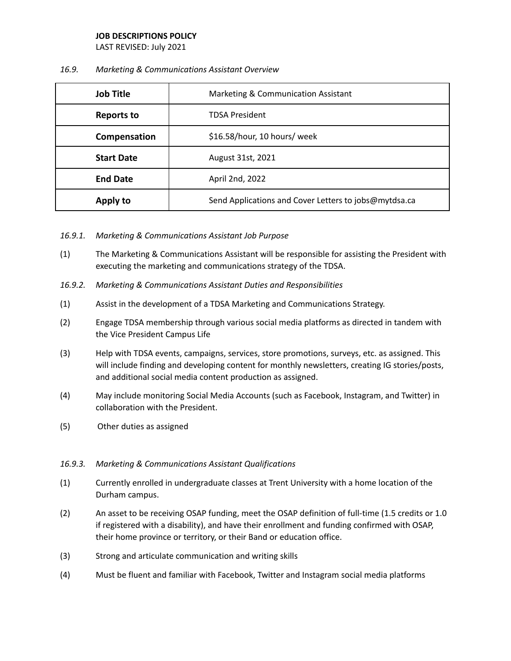LAST REVISED: July 2021

## *16.9. Marketing & Communications Assistant Overview*

| <b>Job Title</b>  | Marketing & Communication Assistant                   |
|-------------------|-------------------------------------------------------|
| <b>Reports to</b> | <b>TDSA President</b>                                 |
| Compensation      | \$16.58/hour, 10 hours/ week                          |
| <b>Start Date</b> | August 31st, 2021                                     |
| <b>End Date</b>   | April 2nd, 2022                                       |
| Apply to          | Send Applications and Cover Letters to jobs@mytdsa.ca |

- *16.9.1. Marketing & Communications Assistant Job Purpose*
- (1) The Marketing & Communications Assistant will be responsible for assisting the President with executing the marketing and communications strategy of the TDSA.
- *16.9.2. Marketing & Communications Assistant Duties and Responsibilities*
- (1) Assist in the development of a TDSA Marketing and Communications Strategy.
- (2) Engage TDSA membership through various social media platforms as directed in tandem with the Vice President Campus Life
- (3) Help with TDSA events, campaigns, services, store promotions, surveys, etc. as assigned. This will include finding and developing content for monthly newsletters, creating IG stories/posts, and additional social media content production as assigned.
- (4) May include monitoring Social Media Accounts (such as Facebook, Instagram, and Twitter) in collaboration with the President.
- (5) Other duties as assigned

## *16.9.3. Marketing & Communications Assistant Qualifications*

- (1) Currently enrolled in undergraduate classes at Trent University with a home location of the Durham campus.
- (2) An asset to be receiving OSAP funding, meet the OSAP definition of full-time (1.5 credits or 1.0 if registered with a disability), and have their enrollment and funding confirmed with OSAP, their home province or territory, or their Band or education office.
- (3) Strong and articulate communication and writing skills
- (4) Must be fluent and familiar with Facebook, Twitter and Instagram social media platforms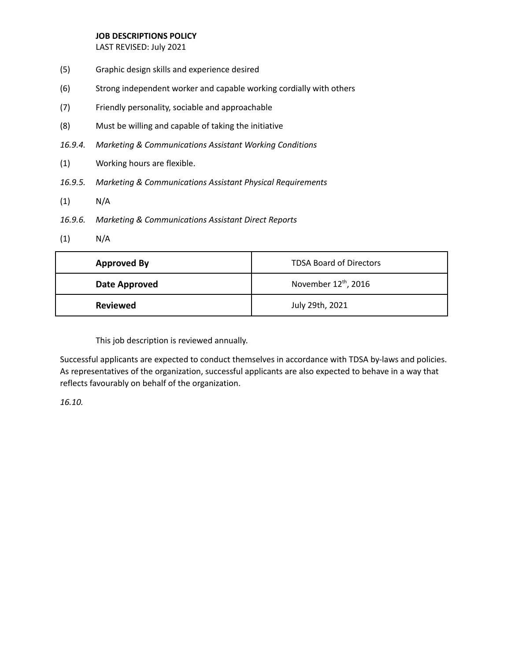LAST REVISED: July 2021

- (5) Graphic design skills and experience desired
- (6) Strong independent worker and capable working cordially with others
- (7) Friendly personality, sociable and approachable
- (8) Must be willing and capable of taking the initiative
- *16.9.4. Marketing & Communications Assistant Working Conditions*
- (1) Working hours are flexible.
- *16.9.5. Marketing & Communications Assistant Physical Requirements*
- (1) N/A
- *16.9.6. Marketing & Communications Assistant Direct Reports*
- (1) N/A

| <b>Approved By</b> | <b>TDSA Board of Directors</b>   |
|--------------------|----------------------------------|
| Date Approved      | November 12 <sup>th</sup> , 2016 |
| <b>Reviewed</b>    | July 29th, 2021                  |

This job description is reviewed annually.

Successful applicants are expected to conduct themselves in accordance with TDSA by-laws and policies. As representatives of the organization, successful applicants are also expected to behave in a way that reflects favourably on behalf of the organization.

*16.10.*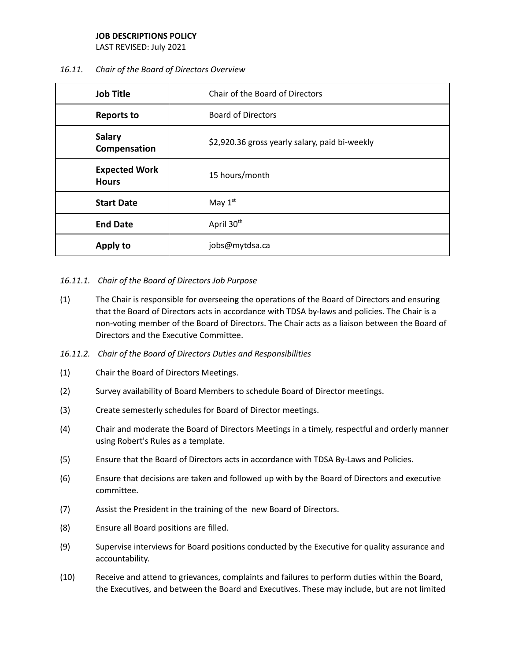LAST REVISED: July 2021

## *16.11. Chair of the Board of Directors Overview*

| <b>Job Title</b>                     | Chair of the Board of Directors                |
|--------------------------------------|------------------------------------------------|
| <b>Reports to</b>                    | <b>Board of Directors</b>                      |
| <b>Salary</b><br>Compensation        | \$2,920.36 gross yearly salary, paid bi-weekly |
| <b>Expected Work</b><br><b>Hours</b> | 15 hours/month                                 |
| <b>Start Date</b>                    | May $1st$                                      |
| <b>End Date</b>                      | April 30 <sup>th</sup>                         |
| Apply to                             | jobs@mytdsa.ca                                 |

## *16.11.1. Chair of the Board of Directors Job Purpose*

- (1) The Chair is responsible for overseeing the operations of the Board of Directors and ensuring that the Board of Directors acts in accordance with TDSA by-laws and policies. The Chair is a non-voting member of the Board of Directors. The Chair acts as a liaison between the Board of Directors and the Executive Committee.
- *16.11.2. Chair of the Board of Directors Duties and Responsibilities*
- (1) Chair the Board of Directors Meetings.
- (2) Survey availability of Board Members to schedule Board of Director meetings.
- (3) Create semesterly schedules for Board of Director meetings.
- (4) Chair and moderate the Board of Directors Meetings in a timely, respectful and orderly manner using Robert's Rules as a template.
- (5) Ensure that the Board of Directors acts in accordance with TDSA By-Laws and Policies.
- (6) Ensure that decisions are taken and followed up with by the Board of Directors and executive committee.
- (7) Assist the President in the training of the new Board of Directors.
- (8) Ensure all Board positions are filled.
- (9) Supervise interviews for Board positions conducted by the Executive for quality assurance and accountability.
- (10) Receive and attend to grievances, complaints and failures to perform duties within the Board, the Executives, and between the Board and Executives. These may include, but are not limited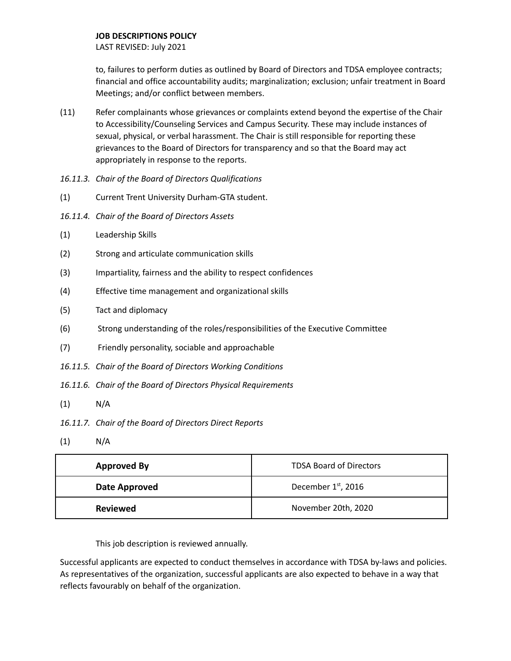LAST REVISED: July 2021

to, failures to perform duties as outlined by Board of Directors and TDSA employee contracts; financial and office accountability audits; marginalization; exclusion; unfair treatment in Board Meetings; and/or conflict between members.

- (11) Refer complainants whose grievances or complaints extend beyond the expertise of the Chair to Accessibility/Counseling Services and Campus Security. These may include instances of sexual, physical, or verbal harassment. The Chair is still responsible for reporting these grievances to the Board of Directors for transparency and so that the Board may act appropriately in response to the reports.
- *16.11.3. Chair of the Board of Directors Qualifications*
- (1) Current Trent University Durham-GTA student.
- *16.11.4. Chair of the Board of Directors Assets*
- (1) Leadership Skills
- (2) Strong and articulate communication skills
- (3) Impartiality, fairness and the ability to respect confidences
- (4) Effective time management and organizational skills
- (5) Tact and diplomacy
- (6) Strong understanding of the roles/responsibilities of the Executive Committee
- (7) Friendly personality, sociable and approachable
- *16.11.5. Chair of the Board of Directors Working Conditions*
- *16.11.6. Chair of the Board of Directors Physical Requirements*
- $(1)$  N/A
- *16.11.7. Chair of the Board of Directors Direct Reports*
- $(1)$  N/A

| <b>Approved By</b> | <b>TDSA Board of Directors</b>  |
|--------------------|---------------------------------|
| Date Approved      | December 1 <sup>st</sup> , 2016 |
| <b>Reviewed</b>    | November 20th, 2020             |

This job description is reviewed annually.

Successful applicants are expected to conduct themselves in accordance with TDSA by-laws and policies. As representatives of the organization, successful applicants are also expected to behave in a way that reflects favourably on behalf of the organization.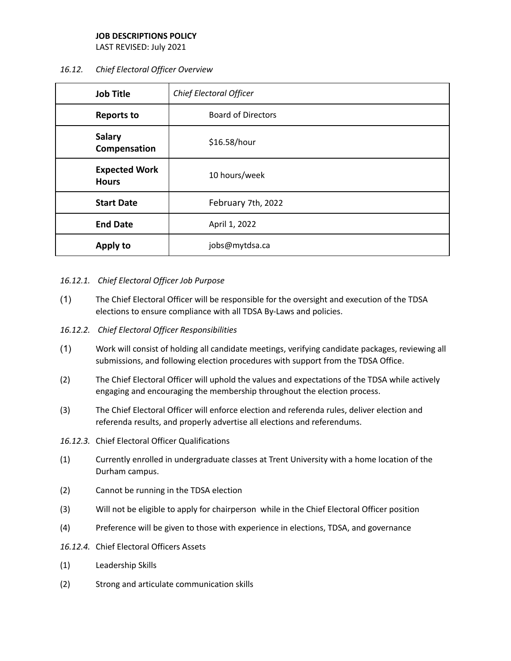LAST REVISED: July 2021

## *16.12. Chief Electoral Officer Overview*

| <b>Job Title</b>                     | Chief Electoral Officer   |
|--------------------------------------|---------------------------|
| <b>Reports to</b>                    | <b>Board of Directors</b> |
| <b>Salary</b><br>Compensation        | \$16.58/hour              |
| <b>Expected Work</b><br><b>Hours</b> | 10 hours/week             |
| <b>Start Date</b>                    | February 7th, 2022        |
| <b>End Date</b>                      | April 1, 2022             |
| Apply to                             | jobs@mytdsa.ca            |

## *16.12.1. Chief Electoral Officer Job Purpose*

- (1) The Chief Electoral Officer will be responsible for the oversight and execution of the TDSA elections to ensure compliance with all TDSA By-Laws and policies.
- *16.12.2. Chief Electoral Officer Responsibilities*
- (1) Work will consist of holding all candidate meetings, verifying candidate packages, reviewing all submissions, and following election procedures with support from the TDSA Office.
- (2) The Chief Electoral Officer will uphold the values and expectations of the TDSA while actively engaging and encouraging the membership throughout the election process.
- (3) The Chief Electoral Officer will enforce election and referenda rules, deliver election and referenda results, and properly advertise all elections and referendums.
- *16.12.3.* Chief Electoral Officer Qualifications
- (1) Currently enrolled in undergraduate classes at Trent University with a home location of the Durham campus.
- (2) Cannot be running in the TDSA election
- (3) Will not be eligible to apply for chairperson while in the Chief Electoral Officer position
- (4) Preference will be given to those with experience in elections, TDSA, and governance
- *16.12.4.* Chief Electoral Officers Assets
- (1) Leadership Skills
- (2) Strong and articulate communication skills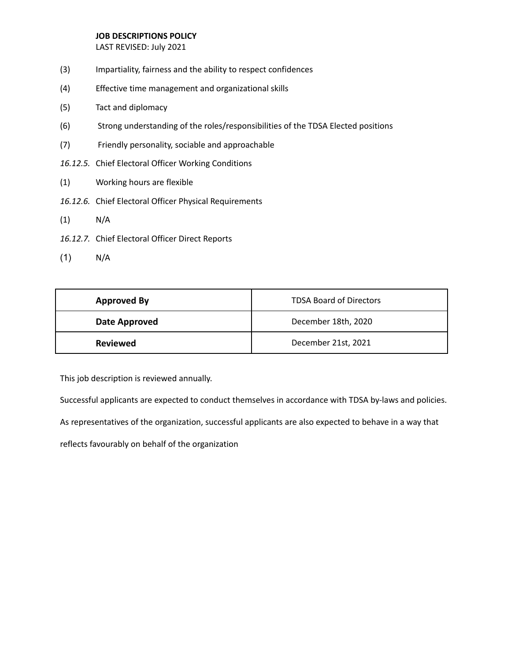LAST REVISED: July 2021

- (3) Impartiality, fairness and the ability to respect confidences
- (4) Effective time management and organizational skills
- (5) Tact and diplomacy
- (6) Strong understanding of the roles/responsibilities of the TDSA Elected positions
- (7) Friendly personality, sociable and approachable
- *16.12.5.* Chief Electoral Officer Working Conditions
- (1) Working hours are flexible
- *16.12.6.* Chief Electoral Officer Physical Requirements
- (1) N/A
- *16.12.7.* Chief Electoral Officer Direct Reports
- (1) N/A

| <b>Approved By</b> | <b>TDSA Board of Directors</b> |
|--------------------|--------------------------------|
| Date Approved      | December 18th, 2020            |
| <b>Reviewed</b>    | December 21st, 2021            |

This job description is reviewed annually.

Successful applicants are expected to conduct themselves in accordance with TDSA by-laws and policies.

As representatives of the organization, successful applicants are also expected to behave in a way that

reflects favourably on behalf of the organization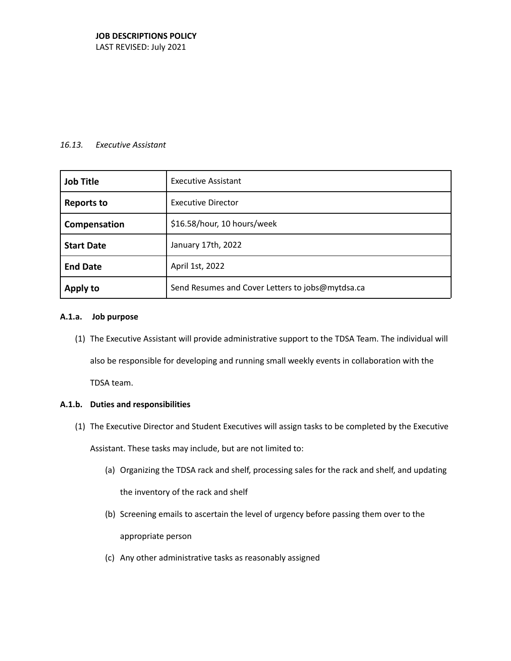LAST REVISED: July 2021

#### *16.13. Executive Assistant*

| <b>Job Title</b>  | <b>Executive Assistant</b>                       |
|-------------------|--------------------------------------------------|
| <b>Reports to</b> | <b>Executive Director</b>                        |
| Compensation      | \$16.58/hour, 10 hours/week                      |
| <b>Start Date</b> | January 17th, 2022                               |
| <b>End Date</b>   | April 1st, 2022                                  |
| <b>Apply to</b>   | Send Resumes and Cover Letters to jobs@mytdsa.ca |

#### **A.1.a. Job purpose**

(1) The Executive Assistant will provide administrative support to the TDSA Team. The individual will also be responsible for developing and running small weekly events in collaboration with the TDSA team.

**A.1.b. Duties and responsibilities**

(1) The Executive Director and Student Executives will assign tasks to be completed by the Executive

Assistant. These tasks may include, but are not limited to:

- (a) Organizing the TDSA rack and shelf, processing sales for the rack and shelf, and updating the inventory of the rack and shelf
- (b) Screening emails to ascertain the level of urgency before passing them over to the appropriate person
- (c) Any other administrative tasks as reasonably assigned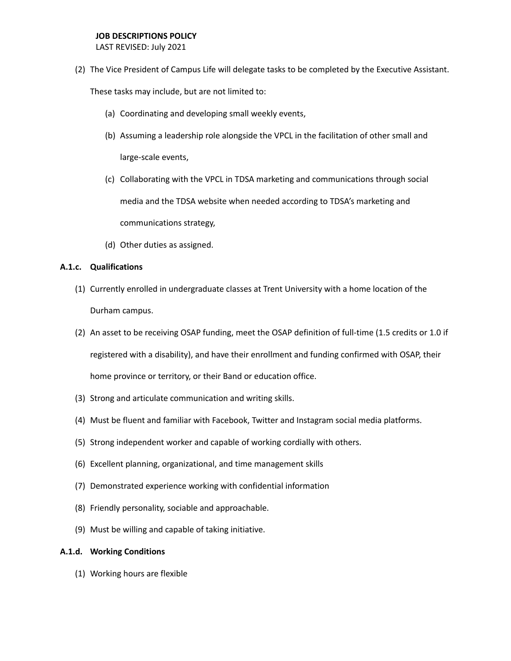LAST REVISED: July 2021

(2) The Vice President of Campus Life will delegate tasks to be completed by the Executive Assistant.

These tasks may include, but are not limited to:

- (a) Coordinating and developing small weekly events,
- (b) Assuming a leadership role alongside the VPCL in the facilitation of other small and large-scale events,
- (c) Collaborating with the VPCL in TDSA marketing and communications through social media and the TDSA website when needed according to TDSA's marketing and communications strategy,
- (d) Other duties as assigned.

## **A.1.c. Qualifications**

- (1) Currently enrolled in undergraduate classes at Trent University with a home location of the Durham campus.
- (2) An asset to be receiving OSAP funding, meet the OSAP definition of full-time (1.5 credits or 1.0 if registered with a disability), and have their enrollment and funding confirmed with OSAP, their home province or territory, or their Band or education office.
- (3) Strong and articulate communication and writing skills.
- (4) Must be fluent and familiar with Facebook, Twitter and Instagram social media platforms.
- (5) Strong independent worker and capable of working cordially with others.
- (6) Excellent planning, organizational, and time management skills
- (7) Demonstrated experience working with confidential information
- (8) Friendly personality, sociable and approachable.
- (9) Must be willing and capable of taking initiative.

#### **A.1.d. Working Conditions**

(1) Working hours are flexible